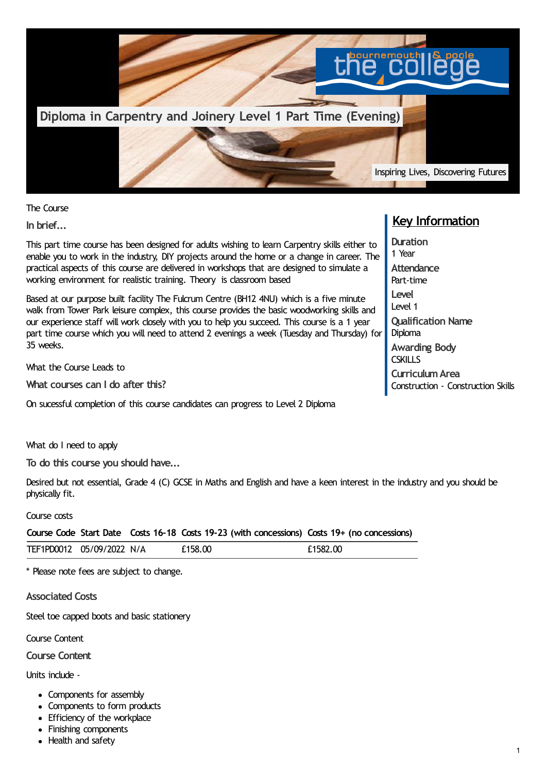

The Course

**In brief...**

This part time course has been designed for adults wishing to learn Carpentry skills either to enable you to work in the industry, DIY projects around the home or a change in career. The practical aspects of this course are delivered in workshops that are designed to simulate a working environment for realistic training. Theory is classroom based

Based at our purpose built facility The Fulcrum Centre (BH12 4NU) which is a five minute walk from Tower Park leisure complex, this course provides the basic woodworking skills and our experience staff will work closely with you to help you succeed. This course is a 1 year part time course which you will need to attend 2 evenings a week (Tuesday and Thursday) for 35 weeks.

What the Course Leads to

**What courses can I do after this?**

On sucessful completion of this course candidates can progress to Level 2 Diploma

What do I need to apply

**To do this course you should have...**

Desired but not essential, Grade 4 (C) GCSE in Maths and English and have a keen interest in the industry and you should be physically fit.

## Course costs

**Course Code Start Date Costs 16-18 Costs 19-23 (with concessions) Costs 19+ (no concessions)** TEF1PD0012 05/09/2022 N/A  $f158.00$   $f1582.00$ 

\* Please note fees are subject to change.

**Associated Costs**

Steel toe capped boots and basic stationery

Course Content

**Course Content**

Units include -

- Components for assembly
- Components to form products
- Efficiency of the workplace
- Finishing components
- Health and safety

## **Key Information**

**Duration** 1 Year **Attendance** Part-time **Level** Level 1 **Qualification Name Diploma Awarding Body CSKILLS CurriculumArea** Construction - Construction Skills